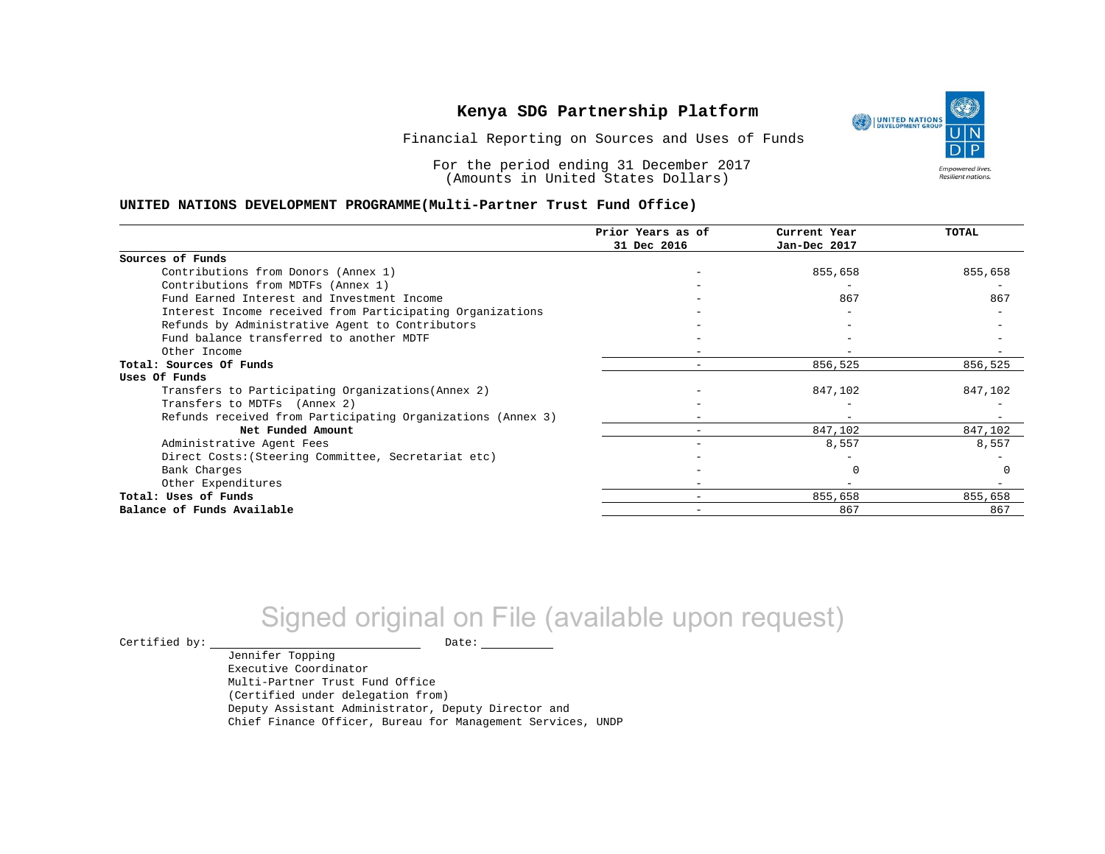Financial Reporting on Sources and Uses of Funds

For the period ending 31 December 2017 (Amounts in United States Dollars)

#### **UNITED NATIONS DEVELOPMENT PROGRAMME(Multi-Partner Trust Fund Office)**

|                                                             | Prior Years as of        | Current Year | TOTAL   |
|-------------------------------------------------------------|--------------------------|--------------|---------|
|                                                             | 31 Dec 2016              | Jan-Dec 2017 |         |
| Sources of Funds                                            |                          |              |         |
| Contributions from Donors (Annex 1)                         |                          | 855,658      | 855,658 |
| Contributions from MDTFs (Annex 1)                          |                          |              |         |
| Fund Earned Interest and Investment Income                  |                          | 867          | 867     |
| Interest Income received from Participating Organizations   |                          |              |         |
| Refunds by Administrative Agent to Contributors             |                          |              |         |
| Fund balance transferred to another MDTF                    |                          |              |         |
| Other Income                                                |                          |              |         |
| Total: Sources Of Funds                                     | $\overline{\phantom{m}}$ | 856,525      | 856,525 |
| Uses Of Funds                                               |                          |              |         |
| Transfers to Participating Organizations (Annex 2)          |                          | 847,102      | 847,102 |
| Transfers to MDTFs (Annex 2)                                |                          |              |         |
| Refunds received from Participating Organizations (Annex 3) |                          |              |         |
| Net Funded Amount                                           |                          | 847,102      | 847,102 |
| Administrative Agent Fees                                   |                          | 8,557        | 8,557   |
| Direct Costs: (Steering Committee, Secretariat etc)         |                          |              |         |
| Bank Charges                                                |                          |              |         |
| Other Expenditures                                          |                          |              |         |
| Total: Uses of Funds                                        |                          | 855,658      | 855,658 |
| Balance of Funds Available                                  |                          | 867          | 867     |

# Signed original on File (available upon request)

 $\begin{tabular}{ccccc} \multicolumn{2}{c|}{\textbf{Certified by:}} & \multicolumn{2}{c|}{\textbf{Date:}} \end{tabular}$ 

Jennifer Topping Executive Coordinator Multi-Partner Trust Fund Office (Certified under delegation from) Deputy Assistant Administrator, Deputy Director and Chief Finance Officer, Bureau for Management Services, UNDP

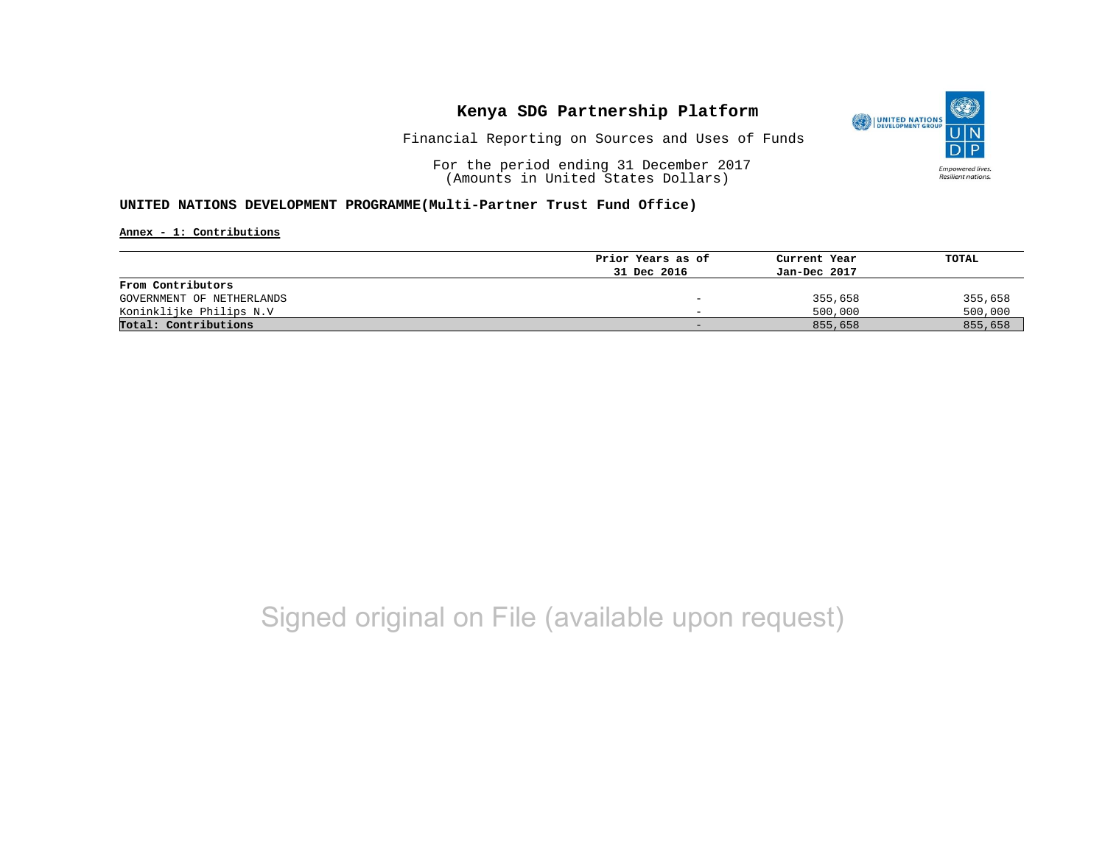

Financial Reporting on Sources and Uses of Funds

For the period ending 31 December 2017 (Amounts in United States Dollars)

#### **UNITED NATIONS DEVELOPMENT PROGRAMME(Multi-Partner Trust Fund Office)**

**Annex - 1: Contributions**

|                           | Prior Years as of | Current Year | TOTAL   |
|---------------------------|-------------------|--------------|---------|
|                           | 31 Dec 2016       | Jan-Dec 2017 |         |
| From Contributors         |                   |              |         |
| GOVERNMENT OF NETHERLANDS |                   | 355,658      | 355,658 |
| Koninklijke Philips N.V   |                   | 500,000      | 500,000 |
| Total: Contributions      |                   | 855,658      | 855,658 |

## Signed original on File (available upon request)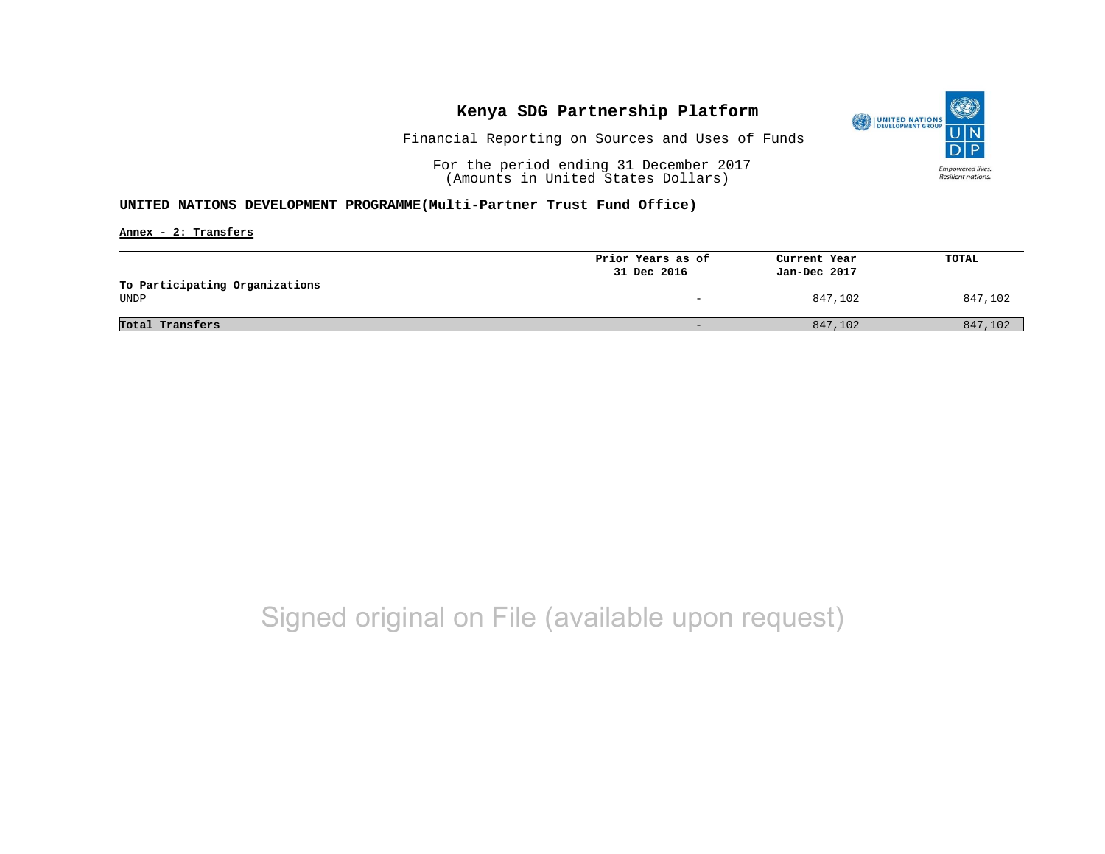

Financial Reporting on Sources and Uses of Funds

For the period ending 31 December 2017 (Amounts in United States Dollars)

#### **UNITED NATIONS DEVELOPMENT PROGRAMME(Multi-Partner Trust Fund Office)**

**Annex - 2: Transfers**

|                                        | Prior Years as of | Current Year | TOTAL   |
|----------------------------------------|-------------------|--------------|---------|
|                                        | 31 Dec 2016       | Jan-Dec 2017 |         |
| To Participating Organizations<br>UNDP | -                 | 847,102      | 847,102 |
| Total Transfers                        | -                 | 847,102      | 847,102 |

## Signed original on File (available upon request)